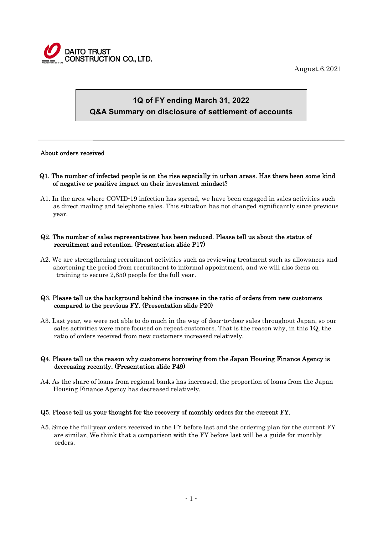

August.6.2021

# **1Q of FY ending March 31, 2022 Q&A Summary on disclosure of settlement of accounts**

#### About orders received

 $\overline{a}$ 

- Q1. The number of infected people is on the rise especially in urban areas. Has there been some kind of negative or positive impact on their investment mindset?
- A1. In the area where COVID-19 infection has spread, we have been engaged in sales activities such as direct mailing and telephone sales. This situation has not changed significantly since previous year.

#### Q2. The number of sales representatives has been reduced. Please tell us about the status of recruitment and retention. (Presentation slide P17)

A2. We are strengthening recruitment activities such as reviewing treatment such as allowances and shortening the period from recruitment to informal appointment, and we will also focus on training to secure 2,850 people for the full year.

#### Q3. Please tell us the background behind the increase in the ratio of orders from new customers compared to the previous FY. (Presentation slide P20)

A3. Last year, we were not able to do much in the way of door-to-door sales throughout Japan, so our sales activities were more focused on repeat customers. That is the reason why, in this 1Q, the ratio of orders received from new customers increased relatively.

#### Q4. Please tell us the reason why customers borrowing from the Japan Housing Finance Agency is decreasing recently. (Presentation slide P49)

A4. As the share of loans from regional banks has increased, the proportion of loans from the Japan Housing Finance Agency has decreased relatively.

#### Q5. Please tell us your thought for the recovery of monthly orders for the current FY.

A5. Since the full-year orders received in the FY before last and the ordering plan for the current FY are similar, We think that a comparison with the FY before last will be a guide for monthly orders.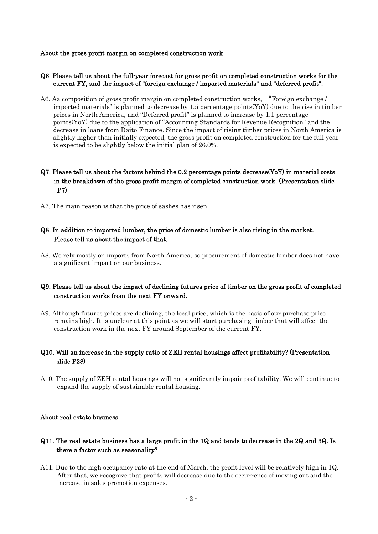#### About the gross profit margin on completed construction work

#### Q6. Please tell us about the full-year forecast for gross profit on completed construction works for the current FY, and the impact of "foreign exchange / imported materials" and "deferred profit".

A6. Aa composition of gross profit margin on completed construction works, "Foreign exchange / imported materials" is planned to decrease by 1.5 percentage points( $\text{YoY}$ ) due to the rise in timber prices in North America, and "Deferred profit" is planned to increase by 1.1 percentage points(YoY) due to the application of "Accounting Standards for Revenue Recognition" and the decrease in loans from Daito Finance. Since the impact of rising timber prices in North America is slightly higher than initially expected, the gross profit on completed construction for the full year is expected to be slightly below the initial plan of 26.0%.

# Q7. Please tell us about the factors behind the 0.2 percentage points decrease(YoY) in material costs in the breakdown of the gross profit margin of completed construction work. (Presentation slide P7)

A7. The main reason is that the price of sashes has risen.

## Q8. In addition to imported lumber, the price of domestic lumber is also rising in the market. Please tell us about the impact of that.

A8. We rely mostly on imports from North America, so procurement of domestic lumber does not have a significant impact on our business.

## Q9. Please tell us about the impact of declining futures price of timber on the gross profit of completed construction works from the next FY onward.

A9. Although futures prices are declining, the local price, which is the basis of our purchase price remains high. It is unclear at this point as we will start purchasing timber that will affect the construction work in the next FY around September of the current FY.

## Q10. Will an increase in the supply ratio of ZEH rental housings affect profitability? (Presentation slide P28)

A10. The supply of ZEH rental housings will not significantly impair profitability. We will continue to expand the supply of sustainable rental housing.

#### About real estate business

## Q11. The real estate business has a large profit in the 1Q and tends to decrease in the 2Q and 3Q. Is there a factor such as seasonality?

A11. Due to the high occupancy rate at the end of March, the profit level will be relatively high in 1Q. After that, we recognize that profits will decrease due to the occurrence of moving out and the increase in sales promotion expenses.